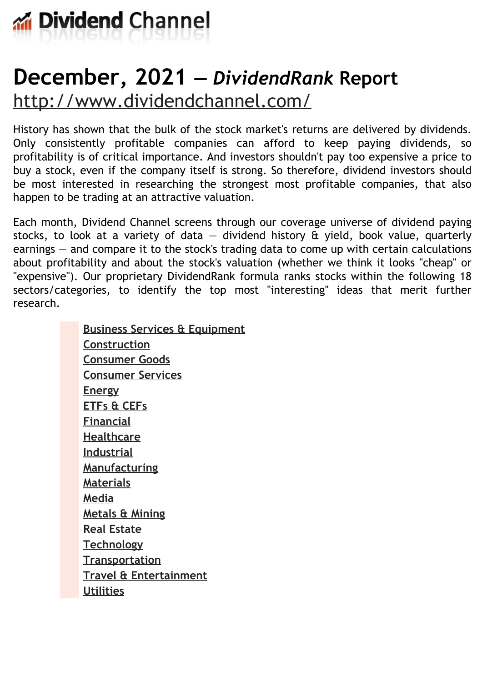

# **December, 2021 —** *DividendRank* **Report**

<http://www.dividendchannel.com/>

History has shown that the bulk of the stock market's returns are delivered by dividends. Only consistently profitable companies can afford to keep paying dividends, so profitability is of critical importance. And investors shouldn't pay too expensive a price to buy a stock, even if the company itself is strong. So therefore, dividend investors should be most interested in researching the strongest most profitable companies, that also happen to be trading at an attractive valuation.

Each month, Dividend Channel screens through our coverage universe of dividend paying stocks, to look at a variety of data  $-$  dividend history  $\hat{a}$  yield, book value, quarterly earnings — and compare it to the stock's trading data to come up with certain calculations about profitability and about the stock's valuation (whether we think it looks ''cheap'' or "expensive"). Our proprietary DividendRank formula ranks stocks within the following 18 sectors/categories, to identify the top most ''interesting'' ideas that merit further research.

> **Business Services & [Equipment](file:///root/temp.html#l01) [Construction](file:///root/temp.html#l02) [Consumer](file:///root/temp.html#l03) Goods [Consumer](file:///root/temp.html#l04) Services [Energy](file:///root/temp.html#l05) [ETFs](file:///root/temp.html#l06) & CEFs [Financial](file:///root/temp.html#l07) [Healthcare](file:///root/temp.html#l08) [Industrial](file:///root/temp.html#l09) [Manufacturing](file:///root/temp.html#l10) [Materials](file:///root/temp.html#l11) [Media](file:///root/temp.html#l12) [Metals](file:///root/temp.html#l13) & Mining Real [Estate](file:///root/temp.html#l14) [Technology](file:///root/temp.html#l15) [Transportation](file:///root/temp.html#l16) Travel & [Entertainment](file:///root/temp.html#l17) [Utilities](file:///root/temp.html#l18)**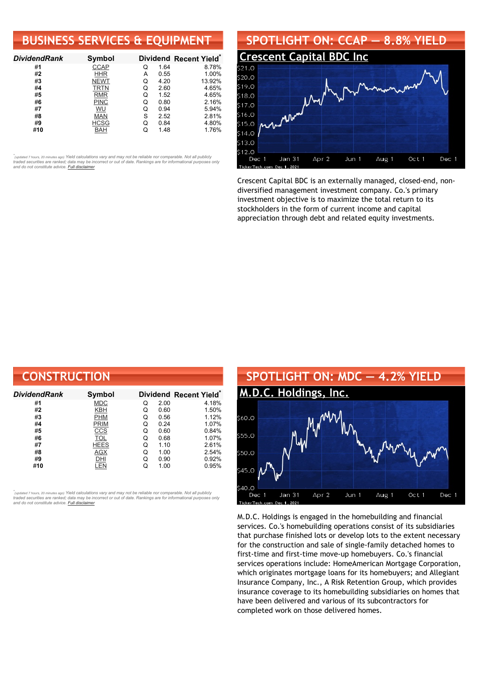# **BUSINESS SERVICES & EQUIPMENT**

| <b>DividendRank</b> | Symbol      |   |      | Dividend Recent Yield* |
|---------------------|-------------|---|------|------------------------|
| #1                  | <b>CCAP</b> | Q | 1.64 | 8.78%                  |
| #2                  | <b>HHR</b>  | А | 0.55 | 1.00%                  |
| #3                  | <b>NEWT</b> | Q | 4.20 | 13.92%                 |
| #4                  | TRTN        | Q | 2.60 | 4.65%                  |
| #5                  | <b>RMR</b>  | Q | 1.52 | 4.65%                  |
| #6                  | <b>PINC</b> | Q | 0.80 | 2.16%                  |
| #7                  | WU          | Q | 0.94 | 5.94%                  |
| #8                  | <b>MAN</b>  | S | 2.52 | 2.81%                  |
| #9                  | <b>HCSG</b> | Q | 0.84 | 4.80%                  |
| #10                 | BAH         |   | 1.48 | 1.76%                  |

•<br>"<sub>(updated 7 hours, 20 minutes ago) Yield calculations vary and may not be reliable nor comparable. Not all publicly<br>traded securities are ranked; data may be incorrect or out of date. Rankings are for informational purp</sub> *and do not constitute advice. Full [disclaimer](https://www.dividendchannel.com/disclaimer/)*



Crescent Capital BDC is an externally managed, closed-end, nondiversified management investment company. Co.'s primary investment objective is to maximize the total return to its stockholders in the form of current income and capital appreciation through debt and related equity investments.

| <b>CONSTRUCTION</b> |             |   |      |                                    |
|---------------------|-------------|---|------|------------------------------------|
| DividendRank        | Symbol      |   |      | Dividend Recent Yield <sup>®</sup> |
| #1                  | <b>MDC</b>  | Q | 2.00 | 4.18%                              |
| #2                  | <b>KBH</b>  | Q | 0.60 | 1.50%                              |
| #3                  | <b>PHM</b>  | Q | 0.56 | 1.12%                              |
| #4                  | <b>PRIM</b> | Q | 0.24 | 1.07%                              |
| #5                  | <b>CCS</b>  | Q | 0.60 | 0.84%                              |
| #6                  | <b>TOL</b>  | Q | 0.68 | 1.07%                              |
| #7                  | <b>HEES</b> | Q | 1.10 | 2.61%                              |
| #8                  | AGX         | Q | 1.00 | 2.54%                              |
| #9                  | DHI         | Q | 0.90 | 0.92%                              |
| #10                 | LEN         | Q | 1.00 | 0.95%                              |

*\** ated 7 hours, 20 minutes ago) Yield calculations vary and may not be reliable nor comparable. Not all publicly traded securities are ranked; data may be incorrect or out of date. Rankings are for informational purposes only *and do not constitute advice. Full [disclaimer](https://www.dividendchannel.com/disclaimer/)*



M.D.C. Holdings is engaged in the homebuilding and financial services. Co.'s homebuilding operations consist of its subsidiaries that purchase finished lots or develop lots to the extent necessary for the construction and sale of single-family detached homes to first-time and first-time move-up homebuyers. Co.'s financial services operations include: HomeAmerican Mortgage Corporation, which originates mortgage loans for its homebuyers; and Allegiant Insurance Company, Inc., A Risk Retention Group, which provides insurance coverage to its homebuilding subsidiaries on homes that have been delivered and various of its subcontractors for completed work on those delivered homes.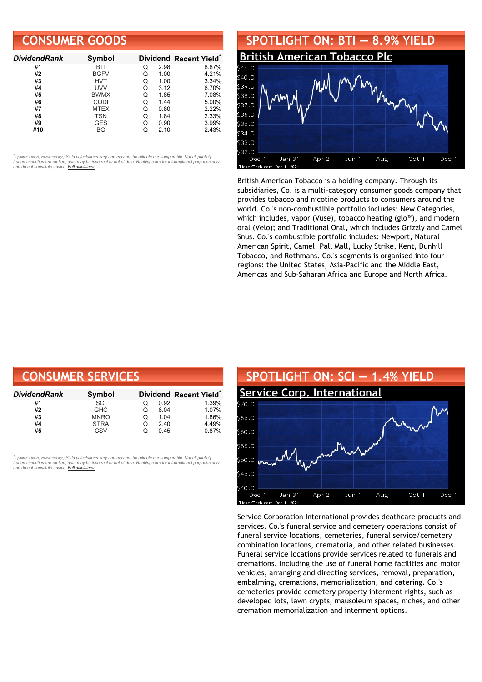#### **CONSUMER GOODS**

| <b>DividendRank</b> | Symbol      |   |      | Dividend Recent Yield* |
|---------------------|-------------|---|------|------------------------|
| #1                  | BTI         | Q | 2.98 | 8.87%                  |
| #2                  | <b>BGFV</b> | Q | 1.00 | 4.21%                  |
| #3                  | <b>HVT</b>  | Q | 1.00 | 3.34%                  |
| #4                  | UVV         | Q | 3.12 | 6.70%                  |
| #5                  | <b>BWMX</b> | Q | 1.85 | 7.08%                  |
| #6                  | CODI        | O | 1.44 | 5.00%                  |
| #7                  | <b>MTEX</b> | Q | 0.80 | 2.22%                  |
| #8                  | TSN         | Q | 1.84 | 2.33%                  |
| #9                  | <b>GES</b>  | Q | 0.90 | 3.99%                  |
| #10                 | ΒG          |   | 2.10 | 2.43%                  |

•<br>"<sub>(updated 7 hours, 20 minutes ago) Yield calculations vary and may not be reliable nor comparable. Not all publicly<br>traded securities are ranked; data may be incorrect or out of date. Rankings are for informational purp</sub> *and do not constitute advice. Full [disclaimer](https://www.dividendchannel.com/disclaimer/)*



British American Tobacco is a holding company. Through its subsidiaries, Co. is a multi-category consumer goods company that provides tobacco and nicotine products to consumers around the world. Co.'s non-combustible portfolio includes: New Categories, which includes, vapor (Vuse), tobacco heating (glo™), and modern oral (Velo); and Traditional Oral, which includes Grizzly and Camel Snus. Co.'s combustible portfolio includes: Newport, Natural American Spirit, Camel, Pall Mall, Lucky Strike, Kent, Dunhill Tobacco, and Rothmans. Co.'s segments is organised into four regions: the United States, Asia-Pacific and the Middle East, Americas and Sub-Saharan Africa and Europe and North Africa.

| <b>CONSUMER SERVICES</b> |             |   |      |                                    |  |  |
|--------------------------|-------------|---|------|------------------------------------|--|--|
| DividendRank             | Symbol      |   |      | Dividend Recent Yield <sup>®</sup> |  |  |
| #1                       | <b>SCI</b>  | O | 0.92 | 1.39%                              |  |  |
| #2                       | <b>GHC</b>  | O | 6.04 | 1.07%                              |  |  |
| #3                       | <b>MNRO</b> | Q | 1.04 | 1.86%                              |  |  |
| #4                       | <b>STRA</b> | Q | 2.40 | 4.49%                              |  |  |
| #5                       | CSV         | Q | 0.45 | 0.87%                              |  |  |

tupdated 7 hours, 20 minutes ago) Yield calculations vary and may not be reliable nor comparable. Not all publicly traded securities are ranked; data may be incorrect or out of date. Rankings are for informational purposes only *and do not constitute advice. Full [disclaimer](https://www.dividendchannel.com/disclaimer/)*



Service Corporation International provides deathcare products and services. Co.'s funeral service and cemetery operations consist of funeral service locations, cemeteries, funeral service/cemetery combination locations, crematoria, and other related businesses. Funeral service locations provide services related to funerals and cremations, including the use of funeral home facilities and motor vehicles, arranging and directing services, removal, preparation, embalming, cremations, memorialization, and catering. Co.'s cemeteries provide cemetery property interment rights, such as developed lots, lawn crypts, mausoleum spaces, niches, and other cremation memorialization and interment options.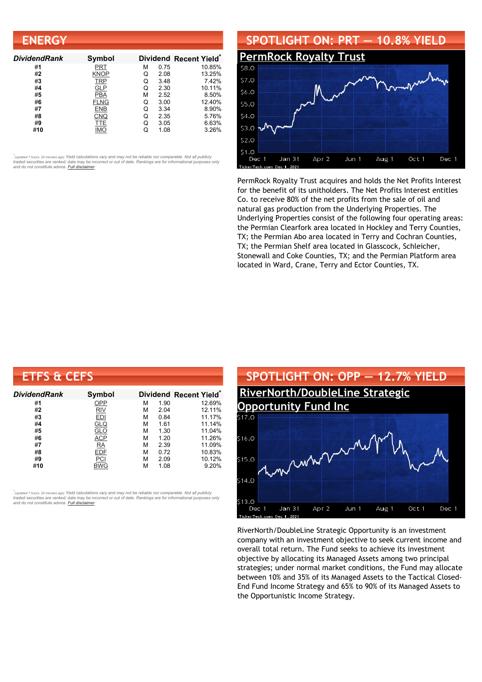| <b>ENERGY</b>       |             |   |      |                                    |
|---------------------|-------------|---|------|------------------------------------|
| <b>DividendRank</b> | Symbol      |   |      | Dividend Recent Yield <sup>®</sup> |
| #1                  | PRT         | м | 0.75 | 10.85%                             |
| #2                  | <b>KNOP</b> | Q | 2.08 | 13.25%                             |
| #3                  | <b>TRP</b>  | Q | 3.48 | 7.42%                              |
| #4                  | <b>GLP</b>  | Q | 2.30 | 10.11%                             |
| #5                  | <b>PBA</b>  | М | 2.52 | 8.50%                              |
| #6                  | <b>FLNG</b> | Q | 3.00 | 12.40%                             |
| #7                  | ENB         | Q | 3.34 | 8.90%                              |
| #8                  | <b>CNQ</b>  | Q | 2.35 | 5.76%                              |
| #9                  | TTE         | Q | 3.05 | 6.63%                              |
| #10                 | <b>IMO</b>  | Q | 1.08 | 3.26%                              |

## **SPOTLIGHT ON: PRT — 10.8% YIELD**



PermRock Royalty Trust acquires and holds the Net Profits Interest for the benefit of its unitholders. The Net Profits Interest entitles Co. to receive 80% of the net profits from the sale of oil and natural gas production from the Underlying Properties. The Underlying Properties consist of the following four operating areas: the Permian Clearfork area located in Hockley and Terry Counties, TX; the Permian Abo area located in Terry and Cochran Counties, TX; the Permian Shelf area located in Glasscock, Schleicher, Stonewall and Coke Counties, TX; and the Permian Platform area located in Ward, Crane, Terry and Ector Counties, TX.

| <b>ETFS &amp; CEFS</b> |            |   |      |                                    |
|------------------------|------------|---|------|------------------------------------|
| <b>DividendRank</b>    | Symbol     |   |      | Dividend Recent Yield <sup>®</sup> |
| #1                     | OPP        | м | 1.90 | 12.69%                             |
| #2                     | <b>RIV</b> | м | 2.04 | 12.11%                             |
| #3                     | <b>EDI</b> | М | 0.84 | 11.17%                             |
| #4                     | <b>GLQ</b> | М | 1.61 | 11.14%                             |
| #5                     | GLO        | м | 1.30 | 11.04%                             |
| #6                     | <b>ACP</b> | М | 1.20 | 11.26%                             |
| #7                     | <b>RA</b>  | М | 2.39 | 11.09%                             |
| #8                     | <b>EDF</b> | М | 0.72 | 10.83%                             |
| #9                     | PCI        | м | 2.09 | 10.12%                             |
| #10                    | <b>BWG</b> | м | 1.08 | 9.20%                              |

*\** ated 7 hours, 20 minutes ago) Yield calculations vary and may not be reliable nor comparable. Not all publicly traded securities are ranked; data may be incorrect or out of date. Rankings are for informational purposes only *and do not constitute advice. Full [disclaimer](https://www.dividendchannel.com/disclaimer/)*



RiverNorth/DoubleLine Strategic Opportunity is an investment company with an investment objective to seek current income and overall total return. The Fund seeks to achieve its investment objective by allocating its Managed Assets among two principal strategies; under normal market conditions, the Fund may allocate between 10% and 35% of its Managed Assets to the Tactical Closed-End Fund Income Strategy and 65% to 90% of its Managed Assets to the Opportunistic Income Strategy.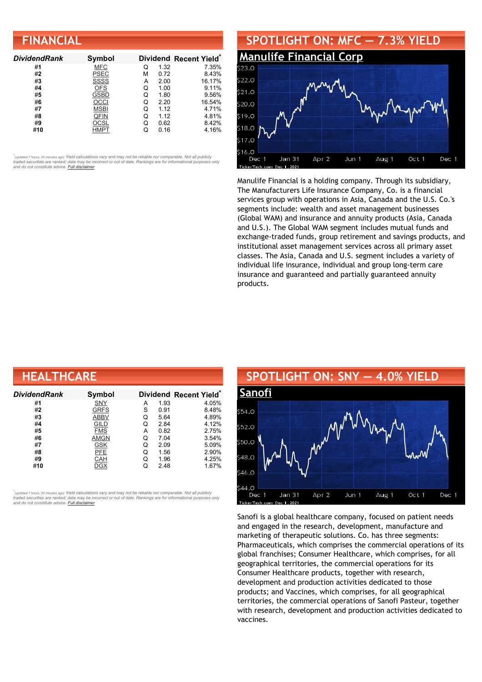| <b>FINANCIAL</b>    |               |   |      |                        |
|---------------------|---------------|---|------|------------------------|
| <b>DividendRank</b> | <b>Symbol</b> |   |      | Dividend Recent Yield* |
| #1                  | <b>MFC</b>    | O | 1.32 | 7.35%                  |
| #2                  | <b>PSEC</b>   | м | 0.72 | 8.43%                  |
| #3                  | <b>SSSS</b>   | А | 2.00 | 16.17%                 |
| #4                  | <b>OFS</b>    | Q | 1.00 | 9.11%                  |
| #5                  | <b>GSBD</b>   | Q | 1.80 | 9.56%                  |
| #6                  | OCCI          | Q | 2.20 | 16.54%                 |
| #7                  | MSBI          | Q | 1.12 | 4.71%                  |
| #8                  | QFIN          | Q | 1.12 | 4.81%                  |
| #9                  | OCSL          | O | 0.62 | 8.42%                  |
| #10                 | <b>HMPT</b>   | Q | 0.16 | 4.16%                  |



Manulife Financial is a holding company. Through its subsidiary, The Manufacturers Life Insurance Company, Co. is a financial services group with operations in Asia, Canada and the U.S. Co.'s segments include: wealth and asset management businesses (Global WAM) and insurance and annuity products (Asia, Canada and U.S.). The Global WAM segment includes mutual funds and exchange-traded funds, group retirement and savings products, and institutional asset management services across all primary asset classes. The Asia, Canada and U.S. segment includes a variety of individual life insurance, individual and group long-term care insurance and guaranteed and partially guaranteed annuity products.

| <b>HEALTHCARE</b> |             |   |      |                        |  |
|-------------------|-------------|---|------|------------------------|--|
| DividendRank      | Symbol      |   |      | Dividend Recent Yield* |  |
| #1                | SNY         | А | 1.93 | 4.05%                  |  |
| #2                | <b>GRFS</b> | S | 0.91 | 8.48%                  |  |
| #3                | <b>ABBV</b> | Q | 5.64 | 4.89%                  |  |
| #4                | GILD        | Q | 2.84 | 4.12%                  |  |
| #5                | <b>FMS</b>  | А | 0.82 | 2.75%                  |  |
| #6                | <b>AMGN</b> | Q | 7.04 | 3.54%                  |  |
| #7                | <b>GSK</b>  | Q | 2.09 | 5.09%                  |  |
| #8                | <b>PFE</b>  | Q | 1.56 | 2.90%                  |  |
| #9                | CAH         | Q | 1.96 | 4.25%                  |  |
| #10               | DGX         | Q | 2.48 | 1.67%                  |  |

*\** ated 7 hours, 20 minutes ago) Yield calculations vary and may not be reliable nor comparable. Not all publicly traded securities are ranked; data may be incorrect or out of date. Rankings are for informational purposes only *and do not constitute advice. Full [disclaimer](https://www.dividendchannel.com/disclaimer/)*



Sanofi is a global healthcare company, focused on patient needs and engaged in the research, development, manufacture and marketing of therapeutic solutions. Co. has three segments: Pharmaceuticals, which comprises the commercial operations of its global franchises; Consumer Healthcare, which comprises, for all geographical territories, the commercial operations for its Consumer Healthcare products, together with research, development and production activities dedicated to those products; and Vaccines, which comprises, for all geographical territories, the commercial operations of Sanofi Pasteur, together with research, development and production activities dedicated to vaccines.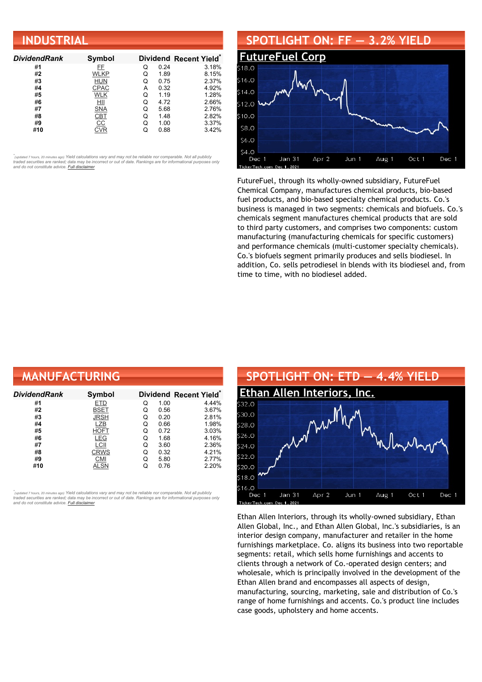| <b>INDUSTRIAL</b>   |             |   |      |                                    |
|---------------------|-------------|---|------|------------------------------------|
| <b>DividendRank</b> | Symbol      |   |      | Dividend Recent Yield <sup>®</sup> |
| #1                  | FF          | Q | 0.24 | 3.18%                              |
| #2                  | <b>WLKP</b> | Q | 1.89 | 8.15%                              |
| #3                  | <b>HUN</b>  | Q | 0.75 | 2.37%                              |
| #4                  | <b>CPAC</b> | А | 0.32 | 4.92%                              |
| #5                  | WLK         | Q | 1.19 | 1.28%                              |
| #6                  | HII         | Q | 4.72 | 2.66%                              |
| #7                  | <b>SNA</b>  | Q | 5.68 | 2.76%                              |
| #8                  | CBT         | Q | 1.48 | 2.82%                              |
| #9                  | CC          | Q | 1.00 | 3.37%                              |
| #10                 | CVR         | Q | 0.88 | 3.42%                              |

## **SPOTLIGHT ON: FF — 3.2% YIELD**



FutureFuel, through its wholly-owned subsidiary, FutureFuel Chemical Company, manufactures chemical products, bio-based fuel products, and bio-based specialty chemical products. Co.'s business is managed in two segments: chemicals and biofuels. Co.'s chemicals segment manufactures chemical products that are sold to third party customers, and comprises two components: custom manufacturing (manufacturing chemicals for specific customers) and performance chemicals (multi-customer specialty chemicals). Co.'s biofuels segment primarily produces and sells biodiesel. In addition, Co. sells petrodiesel in blends with its biodiesel and, from time to time, with no biodiesel added.

| <b>MANUFACTURING</b> |             |   |      |                        |
|----------------------|-------------|---|------|------------------------|
| DividendRank         | Symbol      |   |      | Dividend Recent Yield* |
| #1                   | ETD         | Q | 1.00 | 4.44%                  |
| #2                   | <b>BSET</b> | Q | 0.56 | 3.67%                  |
| #3                   | <b>JRSH</b> | Q | 0.20 | 2.81%                  |
| #4                   | LZB         | Q | 0.66 | 1.98%                  |
| #5                   | <b>HOFT</b> | Q | 0.72 | 3.03%                  |
| #6                   | LEG         | Q | 1.68 | 4.16%                  |
| #7                   | LCII        | Q | 3.60 | 2.36%                  |
| #8                   | <b>CRWS</b> | Q | 0.32 | 4.21%                  |
| #9                   | CMI         | Q | 5.80 | 2.77%                  |
| #10                  | <b>ALSN</b> | Q | 0.76 | 2.20%                  |

*\** ated 7 hours, 20 minutes ago) Yield calculations vary and may not be reliable nor comparable. Not all publicly traded securities are ranked; data may be incorrect or out of date. Rankings are for informational purposes only *and do not constitute advice. Full [disclaimer](https://www.dividendchannel.com/disclaimer/)*



Ethan Allen Interiors, through its wholly-owned subsidiary, Ethan Allen Global, Inc., and Ethan Allen Global, Inc.'s subsidiaries, is an interior design company, manufacturer and retailer in the home furnishings marketplace. Co. aligns its business into two reportable segments: retail, which sells home furnishings and accents to clients through a network of Co.-operated design centers; and wholesale, which is principally involved in the development of the Ethan Allen brand and encompasses all aspects of design, manufacturing, sourcing, marketing, sale and distribution of Co.'s range of home furnishings and accents. Co.'s product line includes case goods, upholstery and home accents.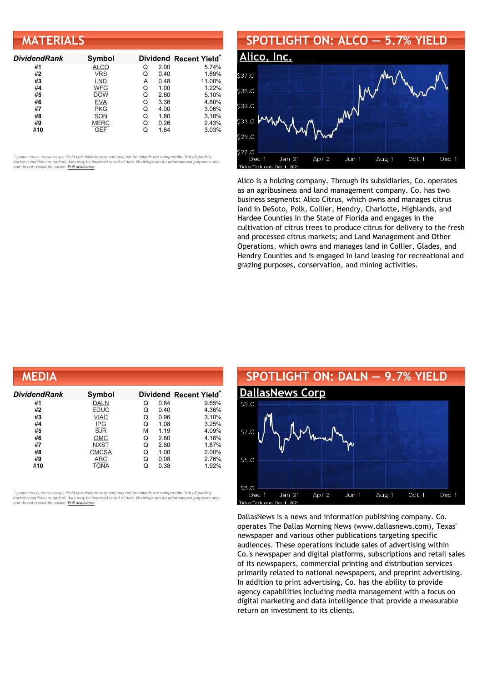| <b>MATERIALS</b>    |               |   |      |                        |
|---------------------|---------------|---|------|------------------------|
| <b>DividendRank</b> | <b>Symbol</b> |   |      | Dividend Recent Yield* |
| #1                  | <b>ALCO</b>   | Q | 2.00 | 5.74%                  |
| #2                  | <b>VRS</b>    | Q | 0.40 | 1.89%                  |
| #3                  | <b>LND</b>    | А | 0.48 | 11.00%                 |
| #4                  | <b>WFG</b>    | Q | 1.00 | 1.22%                  |
| #5                  | DOW           | Q | 2.80 | 5.10%                  |
| #6                  | <b>EVA</b>    | Q | 3.36 | 4.80%                  |
| #7                  | <b>PKG</b>    | Q | 4.00 | 3.06%                  |
| #8                  | SON           | Q | 1.80 | 3.10%                  |
| #9                  | <b>MERC</b>   | Q | 0.26 | 2.43%                  |
| #10                 | GEF           | Q | 1.84 | 3.03%                  |

#### **SPOTLIGHT ON: ALCO — 5.7% YIELD [Alico,](http://www.dividendchannel.com/symbol/alco/) Inc.** \$37.0 535.0 css u \$31.0  $29.0$  $527.0$ Jan 31 Apr 2 Jun 1 Aug 1 Oct 1 Dec 1 Dec 1

Alico is a holding company. Through its subsidiaries, Co. operates as an agribusiness and land management company. Co. has two business segments: Alico Citrus, which owns and manages citrus land in DeSoto, Polk, Collier, Hendry, Charlotte, Highlands, and Hardee Counties in the State of Florida and engages in the cultivation of citrus trees to produce citrus for delivery to the fresh and processed citrus markets; and Land Management and Other Operations, which owns and manages land in Collier, Glades, and Hendry Counties and is engaged in land leasing for recreational and grazing purposes, conservation, and mining activities.

| <b>MEDIA</b>  |              |   |      |                                    |
|---------------|--------------|---|------|------------------------------------|
| Dividend Rank | Symbol       |   |      | Dividend Recent Yield <sup>®</sup> |
| #1            | <b>DALN</b>  | Q | 0.64 | 9.65%                              |
| #2            | <b>EDUC</b>  | Q | 0.40 | 4.36%                              |
| #3            | <b>VIAC</b>  | Q | 0.96 | 3.10%                              |
| #4            | IPG          | Q | 1.08 | 3.25%                              |
| #5            | <b>SJR</b>   | М | 1.19 | 4.09%                              |
| #6            | <b>OMC</b>   | Q | 2.80 | 4.16%                              |
| #7            | <b>NXST</b>  | Q | 2.80 | 1.87%                              |
| #8            | <b>CMCSA</b> | Q | 1.00 | 2.00%                              |
| #9            | ARC          | Q | 0.08 | 2.76%                              |
| #10           | TGNA         | Q | 0.38 | 1.92%                              |

*\** ated 7 hours, 20 minutes ago) Yield calculations vary and may not be reliable nor comparable. Not all publicly traded securities are ranked; data may be incorrect or out of date. Rankings are for informational purposes only *and do not constitute advice. Full [disclaimer](https://www.dividendchannel.com/disclaimer/)*

#### **SPOTLIGHT ON: DALN — 9.7% YIELD [DallasNews](http://www.dividendchannel.com/symbol/daln/) Corp** \$8.0 \$6.0  $550$ Dec 1 Jan 31 Apr 2 Jun 1 Aug 1 Oct 1 Dec 1 erTecl Dec 1, 202

DallasNews is a news and information publishing company. Co. operates The Dallas Morning News (www.dallasnews.com), Texas' newspaper and various other publications targeting specific audiences. These operations include sales of advertising within Co.'s newspaper and digital platforms, subscriptions and retail sales of its newspapers, commercial printing and distribution services primarily related to national newspapers, and preprint advertising. In addition to print advertising, Co. has the ability to provide agency capabilities including media management with a focus on digital marketing and data intelligence that provide a measurable return on investment to its clients.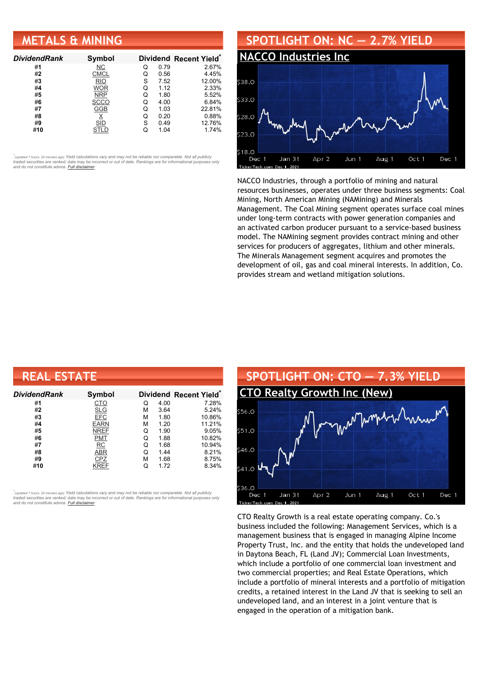#### **METALS & MINING**

| <b>DividendRank</b> | Symbol      |   |      | Dividend Recent Yield* |
|---------------------|-------------|---|------|------------------------|
| #1                  | NС          | Q | 0.79 | 2.67%                  |
| #2                  | <b>CMCL</b> | Q | 0.56 | 4.45%                  |
| #3                  | <b>RIO</b>  | S | 7.52 | 12.00%                 |
| #4                  | <b>WOR</b>  | Q | 1.12 | 2.33%                  |
| #5                  | <b>NRP</b>  | Q | 1.80 | 5.52%                  |
| #6                  | <b>SCCO</b> | Q | 4.00 | 6.84%                  |
| #7                  | <b>GGB</b>  | Q | 1.03 | 22.81%                 |
| #8                  |             | Q | 0.20 | 0.88%                  |
| #9                  | SID         | S | 0.49 | 12.76%                 |
| #10                 | STLD        |   | 1.04 | 1.74%                  |

•<br>"<sub>(updated 7 hours, 20 minutes ago) Yield calculations vary and may not be reliable nor comparable. Not all publicly<br>traded securities are ranked; data may be incorrect or out of date. Rankings are for informational purp</sub> *and do not constitute advice. Full [disclaimer](https://www.dividendchannel.com/disclaimer/)*



NACCO Industries, through a portfolio of mining and natural resources businesses, operates under three business segments: Coal Mining, North American Mining (NAMining) and Minerals Management. The Coal Mining segment operates surface coal mines under long-term contracts with power generation companies and an activated carbon producer pursuant to a service-based business model. The NAMining segment provides contract mining and other services for producers of aggregates, lithium and other minerals. The Minerals Management segment acquires and promotes the development of oil, gas and coal mineral interests. In addition, Co. provides stream and wetland mitigation solutions.

| <b>REAL ESTATE</b> |             |   |      |                        |  |  |
|--------------------|-------------|---|------|------------------------|--|--|
| Dividend Rank      | Symbol      |   |      | Dividend Recent Yield* |  |  |
| #1                 | CTO         | Q | 4.00 | 7.28%                  |  |  |
| #2                 | <b>SLG</b>  | м | 3.64 | 5.24%                  |  |  |
| #3                 | <b>EFC</b>  | М | 1.80 | 10.86%                 |  |  |
| #4                 | <b>EARN</b> | М | 1.20 | 11.21%                 |  |  |
| #5                 | <b>NREF</b> | Q | 1.90 | 9.05%                  |  |  |
| #6                 | PMT         | Q | 1.88 | 10.82%                 |  |  |
| #7                 | <b>RC</b>   | Q | 1.68 | 10.94%                 |  |  |
| #8                 | <b>ABR</b>  | Q | 1.44 | 8.21%                  |  |  |
| #9                 | CPZ         | М | 1.68 | 8.75%                  |  |  |
| #10                | KREF        | Q | 1.72 | 8.34%                  |  |  |

*\** ated 7 hours, 20 minutes ago) Yield calculations vary and may not be reliable nor comparable. Not all publicly traded securities are ranked; data may be incorrect or out of date. Rankings are for informational purposes only *and do not constitute advice. Full [disclaimer](https://www.dividendchannel.com/disclaimer/)*



CTO Realty Growth is a real estate operating company. Co.'s business included the following: Management Services, which is a management business that is engaged in managing Alpine Income Property Trust, Inc. and the entity that holds the undeveloped land in Daytona Beach, FL (Land JV); Commercial Loan Investments, which include a portfolio of one commercial loan investment and two commercial properties; and Real Estate Operations, which include a portfolio of mineral interests and a portfolio of mitigation credits, a retained interest in the Land JV that is seeking to sell an undeveloped land, and an interest in a joint venture that is engaged in the operation of a mitigation bank.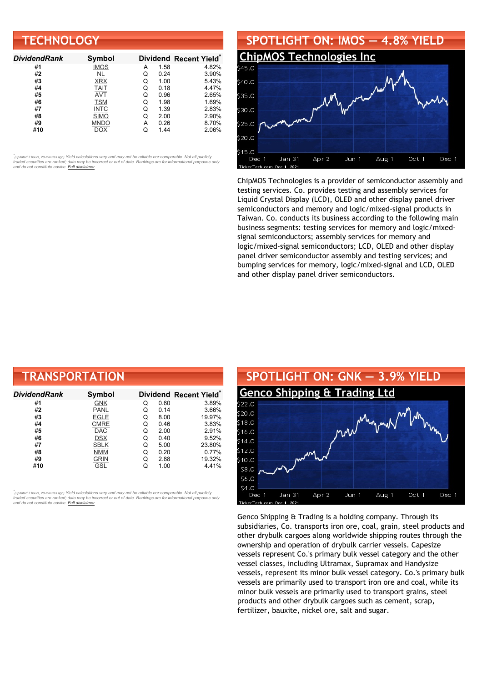| <b>TECHNOLOGY</b>   |             |   |      |                        |  |
|---------------------|-------------|---|------|------------------------|--|
| <b>DividendRank</b> | Symbol      |   |      | Dividend Recent Yield* |  |
| #1                  | <b>IMOS</b> | A | 1.58 | 4.82%                  |  |
| #2                  | NL          | Q | 0.24 | 3.90%                  |  |
| #3                  | <b>XRX</b>  | Q | 1.00 | 5.43%                  |  |
| #4                  | <b>TAIT</b> | Q | 0.18 | 4.47%                  |  |
| #5                  | AVT         | Q | 0.96 | 2.65%                  |  |
| #6                  | <b>TSM</b>  | Q | 1.98 | 1.69%                  |  |
| #7                  | <b>INTC</b> | Q | 1.39 | 2.83%                  |  |
| #8                  | <b>SIMO</b> | Q | 2.00 | 2.90%                  |  |
| #9                  | MNDO        | А | 0.26 | 8.70%                  |  |
| #10                 | DOX         | Q | 1.44 | 2.06%                  |  |



ChipMOS Technologies is a provider of semiconductor assembly and testing services. Co. provides testing and assembly services for Liquid Crystal Display (LCD), OLED and other display panel driver semiconductors and memory and logic/mixed-signal products in Taiwan. Co. conducts its business according to the following main business segments: testing services for memory and logic/mixedsignal semiconductors; assembly services for memory and logic/mixed-signal semiconductors; LCD, OLED and other display panel driver semiconductor assembly and testing services; and bumping services for memory, logic/mixed-signal and LCD, OLED and other display panel driver semiconductors.

| <b>TRANSPORTATION</b> |             |   |      |                        |  |  |
|-----------------------|-------------|---|------|------------------------|--|--|
| Dividend Rank         | Symbol      |   |      | Dividend Recent Yield* |  |  |
| #1                    | <b>GNK</b>  | Q | 0.60 | 3.89%                  |  |  |
| #2                    | PANL        | Q | 0.14 | 3.66%                  |  |  |
| #3                    | <b>EGLE</b> | Q | 8.00 | 19.97%                 |  |  |
| #4                    | <b>CMRE</b> | Q | 0.46 | 3.83%                  |  |  |
| #5                    | <b>DAC</b>  | Q | 2.00 | 2.91%                  |  |  |
| #6                    | <b>DSX</b>  | Q | 0.40 | 9.52%                  |  |  |
| #7                    | <b>SBLK</b> | Q | 5.00 | 23.80%                 |  |  |
| #8                    | <b>NMM</b>  | Q | 0.20 | 0.77%                  |  |  |
| #9                    | <b>GRIN</b> | Q | 2.88 | 19.32%                 |  |  |
| #10                   | GSL         | Q | 1.00 | 4.41%                  |  |  |

*\** ated 7 hours, 20 minutes ago) Yield calculations vary and may not be reliable nor comparable. Not all publicly traded securities are ranked; data may be incorrect or out of date. Rankings are for informational purposes only *and do not constitute advice. Full [disclaimer](https://www.dividendchannel.com/disclaimer/)*



Genco Shipping & Trading is a holding company. Through its subsidiaries, Co. transports iron ore, coal, grain, steel products and other drybulk cargoes along worldwide shipping routes through the ownership and operation of drybulk carrier vessels. Capesize vessels represent Co.'s primary bulk vessel category and the other vessel classes, including Ultramax, Supramax and Handysize vessels, represent its minor bulk vessel category. Co.'s primary bulk vessels are primarily used to transport iron ore and coal, while its minor bulk vessels are primarily used to transport grains, steel products and other drybulk cargoes such as cement, scrap, fertilizer, bauxite, nickel ore, salt and sugar.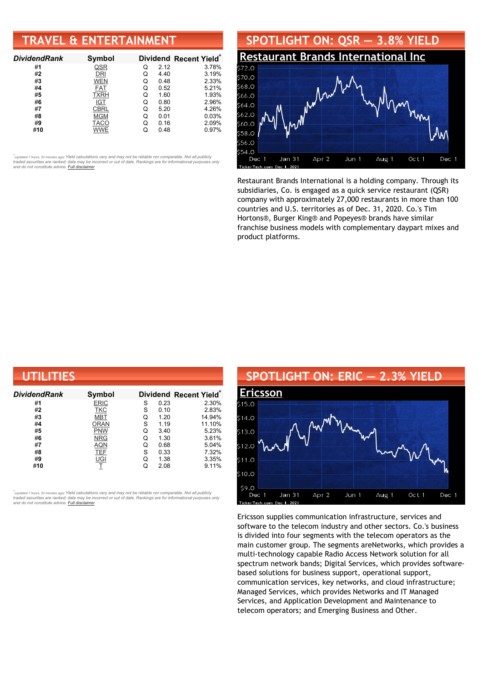# **TRAVEL & ENTERTAINMENT**

| <b>DividendRank</b> | Symbol      |   |      | Dividend Recent Yield* |
|---------------------|-------------|---|------|------------------------|
| #1                  | QSR         | Q | 2.12 | 3.78%                  |
| #2                  | DRI         | Q | 4.40 | 3.19%                  |
| #3                  | <b>WEN</b>  | Q | 0.48 | 2.33%                  |
| #4                  | <b>FAT</b>  | Q | 0.52 | 5.21%                  |
| #5                  | <b>TXRH</b> | Q | 1.60 | 1.93%                  |
| #6                  | IGT         | Q | 0.80 | 2.96%                  |
| #7                  | <b>CBRL</b> | Q | 5.20 | 4.26%                  |
| #8                  | <b>MGM</b>  | Q | 0.01 | 0.03%                  |
| #9                  | TACO        | Q | 0.16 | 2.09%                  |
| #10                 | WWE         |   | 0.48 | 0.97%                  |

•<br>"<sub>(updated 7 hours, 20 minutes ago) Yield calculations vary and may not be reliable nor comparable. Not all publicly<br>traded securities are ranked; data may be incorrect or out of date. Rankings are for informational purp</sub> *and do not constitute advice. Full [disclaimer](https://www.dividendchannel.com/disclaimer/)*



Restaurant Brands International is a holding company. Through its subsidiaries, Co. is engaged as a quick service restaurant (QSR) company with approximately 27,000 restaurants in more than 100 countries and U.S. territories as of Dec. 31, 2020. Co.'s Tim Hortons®, Burger King® and Popeyes® brands have similar franchise business models with complementary daypart mixes and product platforms.

| <b>UTILITIES</b>    |             |   |      |                       |
|---------------------|-------------|---|------|-----------------------|
| <b>DividendRank</b> | Symbol      |   |      | Dividend Recent Yield |
| #1                  | <b>ERIC</b> | S | 0.23 | 2.30%                 |
| #2                  | <b>TKC</b>  | S | 0.10 | 2.83%                 |
| #3                  | <b>MBT</b>  | Q | 1.20 | 14.94%                |
| #4                  | <b>ORAN</b> | S | 1.19 | 11.10%                |
| #5                  | <b>PNW</b>  | Q | 3.40 | 5.23%                 |
| #6                  | <b>NRG</b>  | Q | 1.30 | 3.61%                 |
| #7                  | <b>AQN</b>  | Q | 0.68 | 5.04%                 |
| #8                  | <b>TEF</b>  | S | 0.33 | 7.32%                 |
| #9                  | UGI         | Q | 1.38 | 3.35%                 |
| #10                 |             | Q | 2.08 | 9.11%                 |

*\** ated 7 hours, 20 minutes ago) Yield calculations vary and may not be reliable nor comparable. Not all publicly traded securities are ranked; data may be incorrect or out of date. Rankings are for informational purposes only *and do not constitute advice. Full [disclaimer](https://www.dividendchannel.com/disclaimer/)*



Ericsson supplies communication infrastructure, services and software to the telecom industry and other sectors. Co.'s business is divided into four segments with the telecom operators as the main customer group. The segments areNetworks, which provides a multi-technology capable Radio Access Network solution for all spectrum network bands; Digital Services, which provides softwarebased solutions for business support, operational support, communication services, key networks, and cloud infrastructure; Managed Services, which provides Networks and IT Managed Services, and Application Development and Maintenance to telecom operators; and Emerging Business and Other.